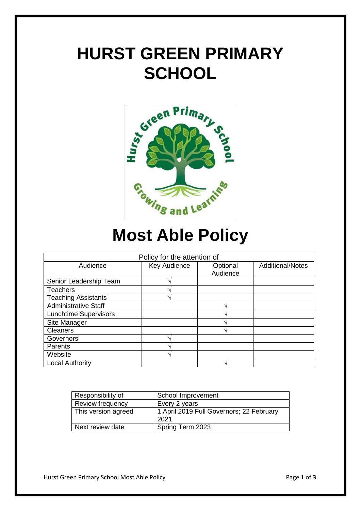# **HURST GREEN PRIMARY SCHOOL**



# **Most Able Policy**

| Policy for the attention of  |              |                      |                         |
|------------------------------|--------------|----------------------|-------------------------|
| Audience                     | Key Audience | Optional<br>Audience | <b>Additional/Notes</b> |
| Senior Leadership Team       |              |                      |                         |
| <b>Teachers</b>              |              |                      |                         |
| <b>Teaching Assistants</b>   |              |                      |                         |
| <b>Administrative Staff</b>  |              |                      |                         |
| <b>Lunchtime Supervisors</b> |              |                      |                         |
| Site Manager                 |              |                      |                         |
| <b>Cleaners</b>              |              |                      |                         |
| Governors                    |              |                      |                         |
| Parents                      |              |                      |                         |
| Website                      |              |                      |                         |
| <b>Local Authority</b>       |              |                      |                         |

| Responsibility of   | School Improvement                       |  |
|---------------------|------------------------------------------|--|
| Review frequency    | Every 2 years                            |  |
| This version agreed | 1 April 2019 Full Governors; 22 February |  |
|                     | 2021                                     |  |
| Next review date    | Spring Term 2023                         |  |

Hurst Green Primary School Most Able Policy **Page 1** of **3** Page 1 of **3**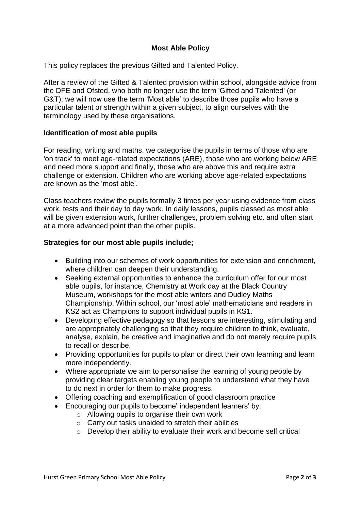## **Most Able Policy**

This policy replaces the previous Gifted and Talented Policy.

After a review of the Gifted & Talented provision within school, alongside advice from the DFE and Ofsted, who both no longer use the term 'Gifted and Talented' (or G&T); we will now use the term 'Most able' to describe those pupils who have a particular talent or strength within a given subject, to align ourselves with the terminology used by these organisations.

#### **Identification of most able pupils**

For reading, writing and maths, we categorise the pupils in terms of those who are 'on track' to meet age-related expectations (ARE), those who are working below ARE and need more support and finally, those who are above this and require extra challenge or extension. Children who are working above age-related expectations are known as the 'most able'.

Class teachers review the pupils formally 3 times per year using evidence from class work, tests and their day to day work. In daily lessons, pupils classed as most able will be given extension work, further challenges, problem solving etc, and often start at a more advanced point than the other pupils.

### **Strategies for our most able pupils include;**

- Building into our schemes of work opportunities for extension and enrichment, where children can deepen their understanding.
- Seeking external opportunities to enhance the curriculum offer for our most able pupils, for instance, Chemistry at Work day at the Black Country Museum, workshops for the most able writers and Dudley Maths Championship. Within school, our 'most able' mathematicians and readers in KS2 act as Champions to support individual pupils in KS1.
- Developing effective pedagogy so that lessons are interesting, stimulating and are appropriately challenging so that they require children to think, evaluate, analyse, explain, be creative and imaginative and do not merely require pupils to recall or describe.
- Providing opportunities for pupils to plan or direct their own learning and learn more independently.
- Where appropriate we aim to personalise the learning of young people by providing clear targets enabling young people to understand what they have to do next in order for them to make progress.
- Offering coaching and exemplification of good classroom practice
- Encouraging our pupils to become' independent learners' by:
	- o Allowing pupils to organise their own work
	- o Carry out tasks unaided to stretch their abilities
	- o Develop their ability to evaluate their work and become self critical